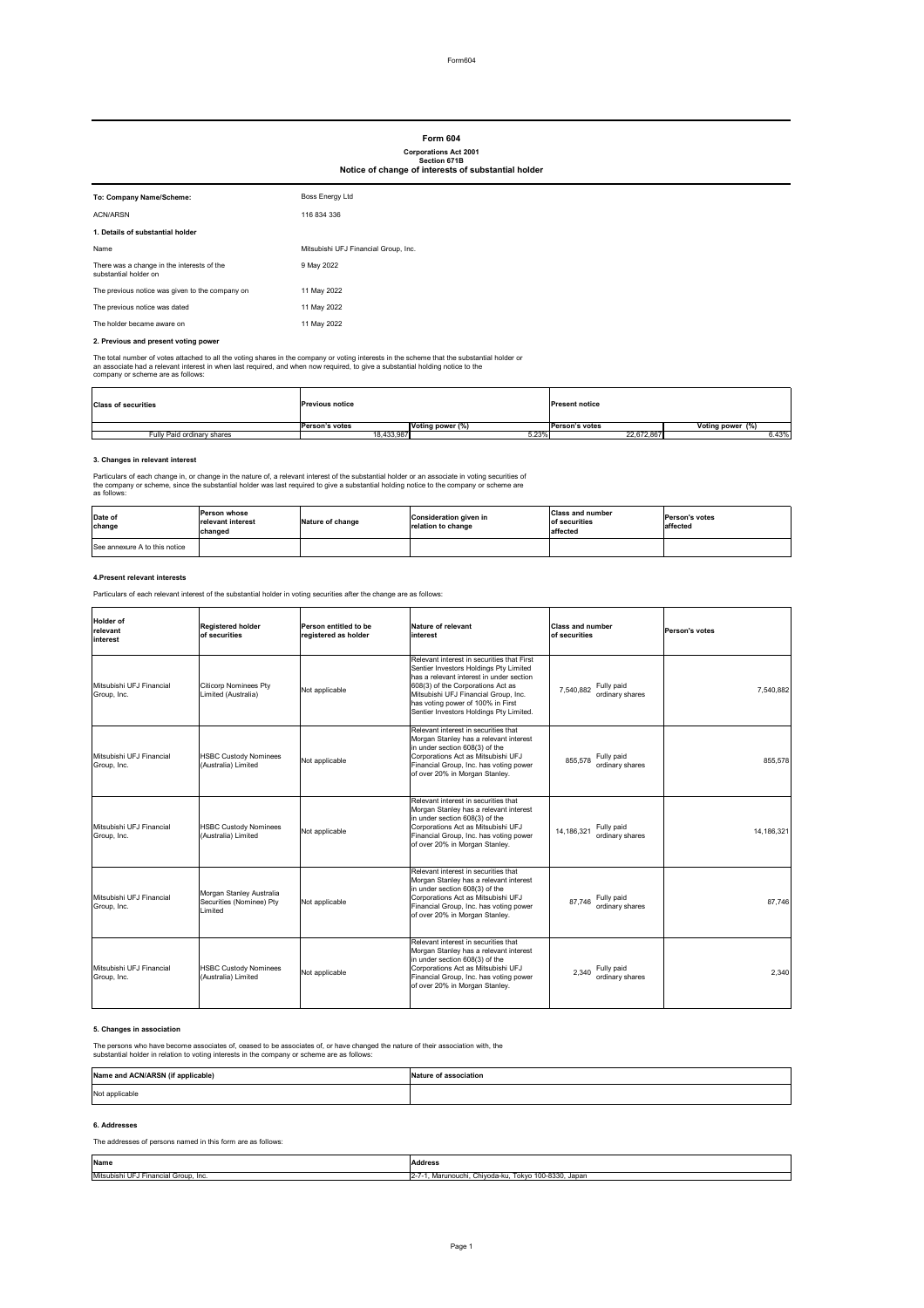## **2. Previous and present voting power**

The total number of votes attached to all the voting shares in the company or voting interests in the scheme that the substantial holder or an associate had a relevant interest in when last required, and when now required, to give a substantial holding notice to the company or scheme are as follows:

## **3. Changes in relevant interest**

Particulars of each change in, or change in the nature of, a relevant interest of the substantial holder or an associate in voting securities of the company or scheme, since the substantial holder was last required to give a substantial holding notice to the company or scheme are as follows:

### **4.Present relevant interests**

Particulars of each relevant interest of the substantial holder in voting securities after the change are as follows:

## **5. Changes in association**

| To: Company Name/Scheme:                                            | <b>Boss Energy Ltd</b>               |
|---------------------------------------------------------------------|--------------------------------------|
| <b>ACN/ARSN</b>                                                     | 116 834 336                          |
| 1. Details of substantial holder                                    |                                      |
| Name                                                                | Mitsubishi UFJ Financial Group, Inc. |
| There was a change in the interests of the<br>substantial holder on | 9 May 2022                           |
| The previous notice was given to the company on                     | 11 May 2022                          |
| The previous notice was dated                                       | 11 May 2022                          |
| The holder became aware on                                          | 11 May 2022                          |

The persons who have become associates of, ceased to be associates of, or have changed the nature of their association with, the substantial holder in relation to voting interests in the company or scheme are as follows:

## **6. Addresses**

## The addresses of persons named in this form are as follows:

| <b>Class of securities</b> | <b>Previous notice</b> |                  | <b>Present notice</b> |                  |
|----------------------------|------------------------|------------------|-----------------------|------------------|
|                            | Person's votes         | Voting power (%) | <b>Person's votes</b> | Voting power (%) |
| Fully Paid ordinary shares | 18,433,987             | 5.23%            | 22,672,867            | 6.43%            |

| Holder of<br>relevant<br>interest       | <b>Registered holder</b><br>of securities                       | Person entitled to be<br>registered as holder | Nature of relevant<br>interest                                                                                                                                                                                                                                                                | <b>Class and number</b><br>of securities    | <b>Person's votes</b> |
|-----------------------------------------|-----------------------------------------------------------------|-----------------------------------------------|-----------------------------------------------------------------------------------------------------------------------------------------------------------------------------------------------------------------------------------------------------------------------------------------------|---------------------------------------------|-----------------------|
| Mitsubishi UFJ Financial<br>Group, Inc. | <b>Citicorp Nominees Pty</b><br>Limited (Australia)             | Not applicable                                | Relevant interest in securities that First<br>Sentier Investors Holdings Pty Limited<br>has a relevant interest in under section<br>608(3) of the Corporations Act as<br>Mitsubishi UFJ Financial Group, Inc.<br>has voting power of 100% in First<br>Sentier Investors Holdings Pty Limited. | Fully paid<br>7,540,882<br>ordinary shares  | 7,540,882             |
| Mitsubishi UFJ Financial<br>Group, Inc. | <b>HSBC Custody Nominees</b><br>(Australia) Limited             | Not applicable                                | Relevant interest in securities that<br>Morgan Stanley has a relevant interest<br>in under section 608(3) of the<br>Corporations Act as Mitsubishi UFJ<br>Financial Group, Inc. has voting power<br>of over 20% in Morgan Stanley.                                                            | Fully paid<br>855,578<br>ordinary shares    | 855,578               |
| Mitsubishi UFJ Financial<br>Group, Inc. | <b>HSBC Custody Nominees</b><br>(Australia) Limited             | Not applicable                                | Relevant interest in securities that<br>Morgan Stanley has a relevant interest<br>in under section 608(3) of the<br>Corporations Act as Mitsubishi UFJ<br>Financial Group, Inc. has voting power<br>of over 20% in Morgan Stanley.                                                            | Fully paid<br>14,186,321<br>ordinary shares | 14,186,321            |
| Mitsubishi UFJ Financial<br>Group, Inc. | Morgan Stanley Australia<br>Securities (Nominee) Pty<br>Limited | Not applicable                                | Relevant interest in securities that<br>Morgan Stanley has a relevant interest<br>in under section 608(3) of the<br>Corporations Act as Mitsubishi UFJ<br>Financial Group, Inc. has voting power<br>of over 20% in Morgan Stanley.                                                            | Fully paid<br>87,746<br>ordinary shares     | 87,746                |
| Mitsubishi UFJ Financial<br>Group, Inc. | <b>HSBC Custody Nominees</b><br>(Australia) Limited             | Not applicable                                | Relevant interest in securities that<br>Morgan Stanley has a relevant interest<br>in under section 608(3) of the<br>Corporations Act as Mitsubishi UFJ<br>Financial Group, Inc. has voting power<br>of over 20% in Morgan Stanley.                                                            | Fully paid<br>2,340<br>ordinary shares      | 2,340                 |

| Date of<br>change             | lPerson whose<br><b>Irelevant interest</b><br>changed | Nature of change | <b>Consideration given in</b><br>relation to change | <b>Class and number</b><br><b>lof securities</b><br>affected | <b>Person's votes</b><br>affected |
|-------------------------------|-------------------------------------------------------|------------------|-----------------------------------------------------|--------------------------------------------------------------|-----------------------------------|
| See annexure A to this notice |                                                       |                  |                                                     |                                                              |                                   |

# **Form 604**

## **Corporations Act 2001 Section 671B Notice of change of interests of substantial holder**

| Name             | <b>Address</b>       |
|------------------|----------------------|
| .                | $2 - 7$              |
| Mitsubish.       | $100 - 8330$ , Japan |
| Financial Group. | . Chivoda-ku.        |
| . Inc.           | Tokvo                |
| ט ו ש            | `/larunouchi.        |

| Name and ACN/ARSN (if applicable) | <b>INature of association</b> |
|-----------------------------------|-------------------------------|
| Not applicable                    |                               |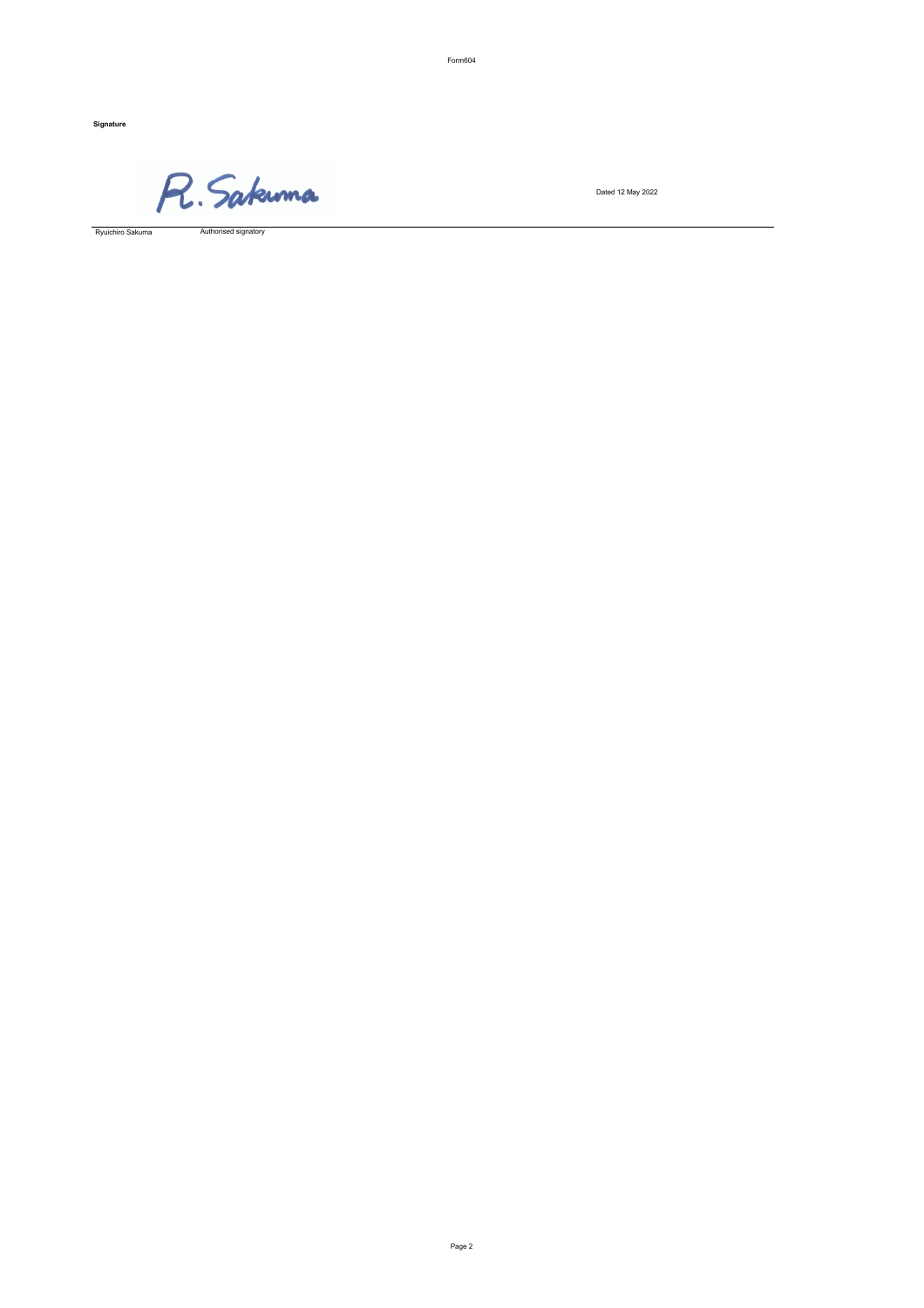Form604

**Signature**

R. Sakunna

Dated 12 May 2022

Authorised signatory

Ryuichiro Sakuma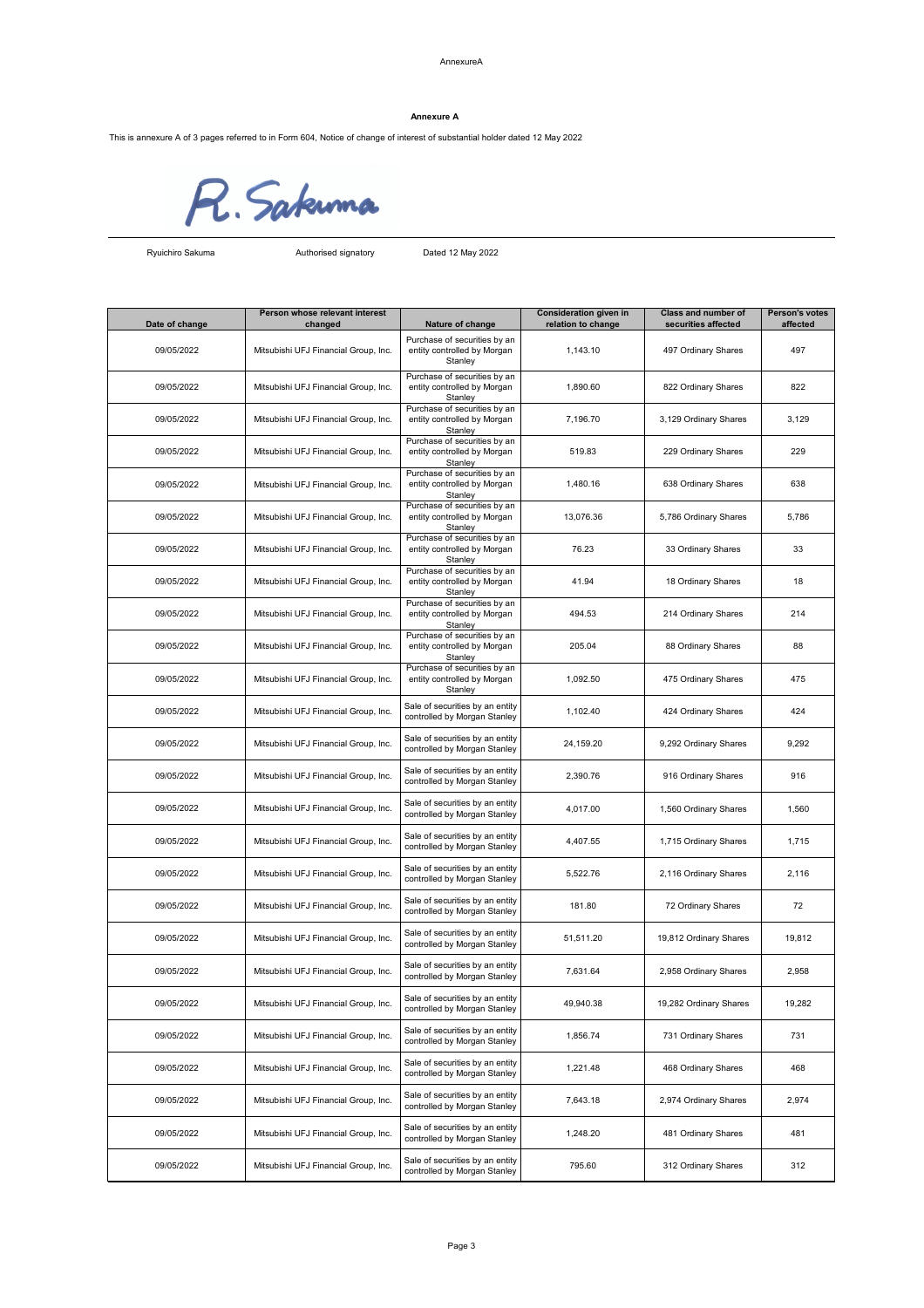### AnnexureA

This is annexure A of 3 pages referred to in Form 604, Notice of change of interest of substantial holder dated 12 May 2022



Authorised signatory Dated 12 May 2022

| Date of change | Person whose relevant interest<br>changed | Nature of change                                                       | <b>Consideration given in</b><br>relation to change | <b>Class and number of</b><br>securities affected | <b>Person's votes</b><br>affected |
|----------------|-------------------------------------------|------------------------------------------------------------------------|-----------------------------------------------------|---------------------------------------------------|-----------------------------------|
| 09/05/2022     | Mitsubishi UFJ Financial Group, Inc.      | Purchase of securities by an<br>entity controlled by Morgan<br>Stanley | 1,143.10                                            | 497 Ordinary Shares                               | 497                               |
| 09/05/2022     | Mitsubishi UFJ Financial Group, Inc.      | Purchase of securities by an<br>entity controlled by Morgan<br>Stanley | 1,890.60                                            | 822 Ordinary Shares                               | 822                               |
| 09/05/2022     | Mitsubishi UFJ Financial Group, Inc.      | Purchase of securities by an<br>entity controlled by Morgan<br>Stanley | 7,196.70                                            | 3,129 Ordinary Shares                             | 3,129                             |
| 09/05/2022     | Mitsubishi UFJ Financial Group, Inc.      | Purchase of securities by an<br>entity controlled by Morgan<br>Stanley | 519.83                                              | 229 Ordinary Shares                               | 229                               |
| 09/05/2022     | Mitsubishi UFJ Financial Group, Inc.      | Purchase of securities by an<br>entity controlled by Morgan<br>Stanley | 1,480.16                                            | 638 Ordinary Shares                               | 638                               |
| 09/05/2022     | Mitsubishi UFJ Financial Group, Inc.      | Purchase of securities by an<br>entity controlled by Morgan<br>Stanley | 13,076.36                                           | 5,786 Ordinary Shares                             | 5,786                             |
| 09/05/2022     | Mitsubishi UFJ Financial Group, Inc.      | Purchase of securities by an<br>entity controlled by Morgan<br>Stanley | 76.23                                               | 33 Ordinary Shares                                | 33                                |
| 09/05/2022     | Mitsubishi UFJ Financial Group, Inc.      | Purchase of securities by an<br>entity controlled by Morgan<br>Stanley | 41.94                                               | 18 Ordinary Shares                                | 18                                |
| 09/05/2022     | Mitsubishi UFJ Financial Group, Inc.      | Purchase of securities by an<br>entity controlled by Morgan<br>Stanley | 494.53                                              | 214 Ordinary Shares                               | 214                               |
| 09/05/2022     | Mitsubishi UFJ Financial Group, Inc.      | Purchase of securities by an<br>entity controlled by Morgan<br>Stanley | 205.04                                              | 88 Ordinary Shares                                | 88                                |
| 09/05/2022     | Mitsubishi UFJ Financial Group, Inc.      | Purchase of securities by an<br>entity controlled by Morgan<br>Stanley | 1,092.50                                            | 475 Ordinary Shares                               | 475                               |
| 09/05/2022     | Mitsubishi UFJ Financial Group, Inc.      | Sale of securities by an entity<br>controlled by Morgan Stanley        | 1,102.40                                            | 424 Ordinary Shares                               | 424                               |
| 09/05/2022     | Mitsubishi UFJ Financial Group, Inc.      | Sale of securities by an entity<br>controlled by Morgan Stanley        | 24,159.20                                           | 9,292 Ordinary Shares                             | 9,292                             |
| 09/05/2022     | Mitsubishi UFJ Financial Group, Inc.      | Sale of securities by an entity<br>controlled by Morgan Stanley        | 2,390.76                                            | 916 Ordinary Shares                               | 916                               |
| 09/05/2022     | Mitsubishi UFJ Financial Group, Inc.      | Sale of securities by an entity<br>controlled by Morgan Stanley        | 4,017.00                                            | 1,560 Ordinary Shares                             | 1,560                             |
| 09/05/2022     | Mitsubishi UFJ Financial Group, Inc.      | Sale of securities by an entity<br>controlled by Morgan Stanley        | 4,407.55                                            | 1,715 Ordinary Shares                             | 1,715                             |
| 09/05/2022     | Mitsubishi UFJ Financial Group, Inc.      | Sale of securities by an entity<br>controlled by Morgan Stanley        | 5,522.76                                            | 2,116 Ordinary Shares                             | 2,116                             |
| 09/05/2022     | Mitsubishi UFJ Financial Group, Inc.      | Sale of securities by an entity<br>controlled by Morgan Stanley        | 181.80                                              | 72 Ordinary Shares                                | 72                                |
| 09/05/2022     | Mitsubishi UFJ Financial Group, Inc.      | Sale of securities by an entity<br>controlled by Morgan Stanley        | 51,511.20                                           | 19,812 Ordinary Shares                            | 19,812                            |
| 09/05/2022     | Mitsubishi UFJ Financial Group, Inc.      | Sale of securities by an entity<br>controlled by Morgan Stanley        | 7,631.64                                            | 2,958 Ordinary Shares                             | 2,958                             |
| 09/05/2022     | Mitsubishi UFJ Financial Group, Inc.      | Sale of securities by an entity<br>controlled by Morgan Stanley        | 49,940.38                                           | 19,282 Ordinary Shares                            | 19,282                            |
| 09/05/2022     | Mitsubishi UFJ Financial Group, Inc.      | Sale of securities by an entity<br>controlled by Morgan Stanley        | 1,856.74                                            | 731 Ordinary Shares                               | 731                               |
| 09/05/2022     | Mitsubishi UFJ Financial Group, Inc.      | Sale of securities by an entity<br>controlled by Morgan Stanley        | 1,221.48                                            | 468 Ordinary Shares                               | 468                               |
| 09/05/2022     | Mitsubishi UFJ Financial Group, Inc.      | Sale of securities by an entity<br>controlled by Morgan Stanley        | 7,643.18                                            | 2,974 Ordinary Shares                             | 2,974                             |
| 09/05/2022     | Mitsubishi UFJ Financial Group, Inc.      | Sale of securities by an entity<br>controlled by Morgan Stanley        | 1,248.20                                            | 481 Ordinary Shares                               | 481                               |
| 09/05/2022     | Mitsubishi UFJ Financial Group, Inc.      | Sale of securities by an entity<br>controlled by Morgan Stanley        | 795.60                                              | 312 Ordinary Shares                               | 312                               |

## **Annexure A**

Ryuichiro Sakuma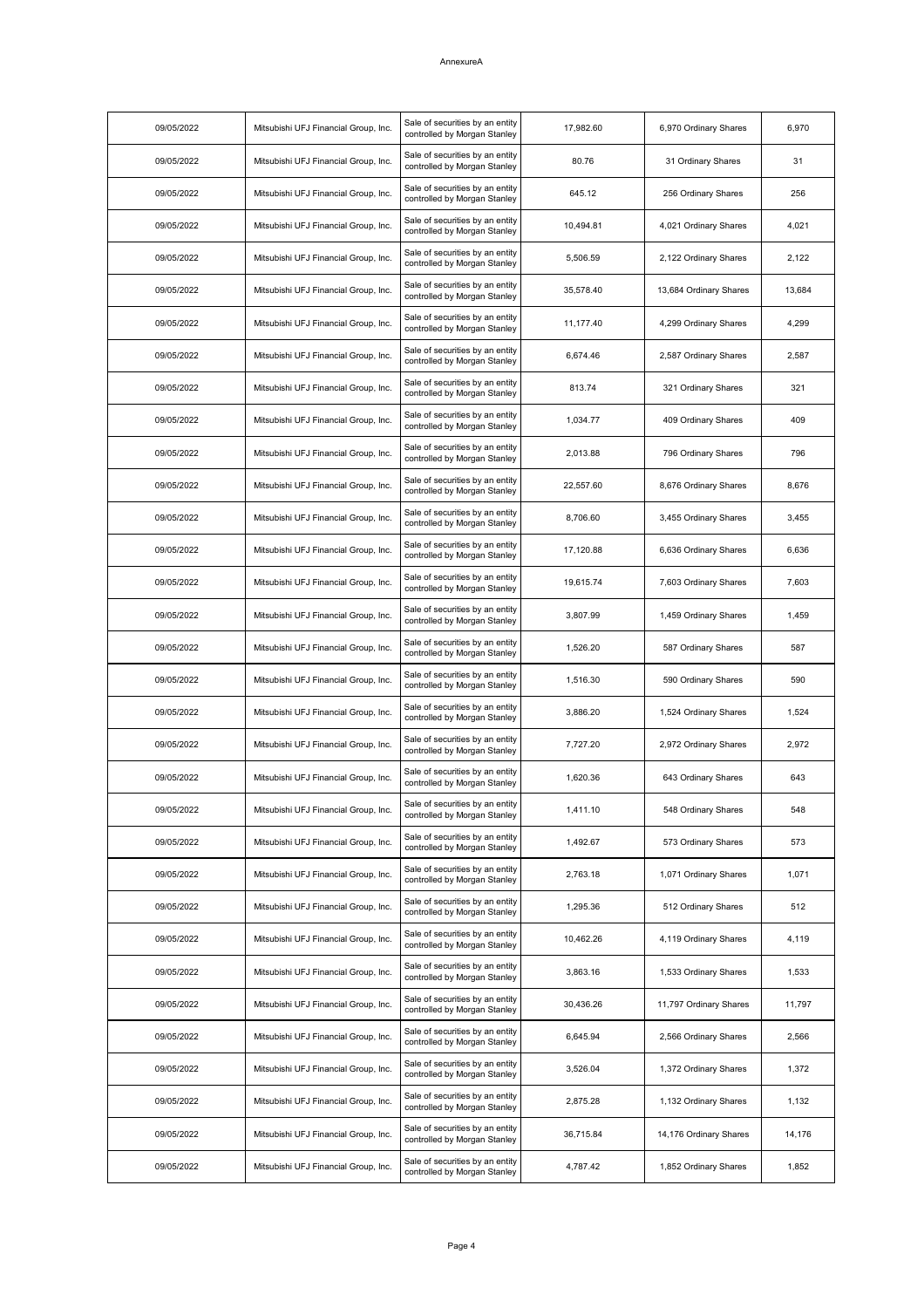### AnnexureA

| 09/05/2022 | Mitsubishi UFJ Financial Group, Inc. | Sale of securities by an entity<br>controlled by Morgan Stanley | 17,982.60 | 6,970 Ordinary Shares  | 6,970  |
|------------|--------------------------------------|-----------------------------------------------------------------|-----------|------------------------|--------|
| 09/05/2022 | Mitsubishi UFJ Financial Group, Inc. | Sale of securities by an entity<br>controlled by Morgan Stanley | 80.76     | 31 Ordinary Shares     | 31     |
| 09/05/2022 | Mitsubishi UFJ Financial Group, Inc. | Sale of securities by an entity<br>controlled by Morgan Stanley | 645.12    | 256 Ordinary Shares    | 256    |
| 09/05/2022 | Mitsubishi UFJ Financial Group, Inc. | Sale of securities by an entity<br>controlled by Morgan Stanley | 10,494.81 | 4,021 Ordinary Shares  | 4,021  |
| 09/05/2022 | Mitsubishi UFJ Financial Group, Inc. | Sale of securities by an entity<br>controlled by Morgan Stanley | 5,506.59  | 2,122 Ordinary Shares  | 2,122  |
| 09/05/2022 | Mitsubishi UFJ Financial Group, Inc. | Sale of securities by an entity<br>controlled by Morgan Stanley | 35,578.40 | 13,684 Ordinary Shares | 13,684 |
| 09/05/2022 | Mitsubishi UFJ Financial Group, Inc. | Sale of securities by an entity<br>controlled by Morgan Stanley | 11,177.40 | 4,299 Ordinary Shares  | 4,299  |
| 09/05/2022 | Mitsubishi UFJ Financial Group, Inc. | Sale of securities by an entity<br>controlled by Morgan Stanley | 6,674.46  | 2,587 Ordinary Shares  | 2,587  |
| 09/05/2022 | Mitsubishi UFJ Financial Group, Inc. | Sale of securities by an entity<br>controlled by Morgan Stanley | 813.74    | 321 Ordinary Shares    | 321    |
| 09/05/2022 | Mitsubishi UFJ Financial Group, Inc. | Sale of securities by an entity<br>controlled by Morgan Stanley | 1,034.77  | 409 Ordinary Shares    | 409    |
| 09/05/2022 | Mitsubishi UFJ Financial Group, Inc. | Sale of securities by an entity<br>controlled by Morgan Stanley | 2,013.88  | 796 Ordinary Shares    | 796    |
| 09/05/2022 | Mitsubishi UFJ Financial Group, Inc. | Sale of securities by an entity<br>controlled by Morgan Stanley | 22,557.60 | 8,676 Ordinary Shares  | 8,676  |
| 09/05/2022 | Mitsubishi UFJ Financial Group, Inc. | Sale of securities by an entity<br>controlled by Morgan Stanley | 8,706.60  | 3,455 Ordinary Shares  | 3,455  |
| 09/05/2022 | Mitsubishi UFJ Financial Group, Inc. | Sale of securities by an entity<br>controlled by Morgan Stanley | 17,120.88 | 6,636 Ordinary Shares  | 6,636  |
| 09/05/2022 | Mitsubishi UFJ Financial Group, Inc. | Sale of securities by an entity<br>controlled by Morgan Stanley | 19,615.74 | 7,603 Ordinary Shares  | 7,603  |
| 09/05/2022 | Mitsubishi UFJ Financial Group, Inc. | Sale of securities by an entity<br>controlled by Morgan Stanley | 3,807.99  | 1,459 Ordinary Shares  | 1,459  |
| 09/05/2022 | Mitsubishi UFJ Financial Group, Inc. | Sale of securities by an entity<br>controlled by Morgan Stanley | 1,526.20  | 587 Ordinary Shares    | 587    |
| 09/05/2022 | Mitsubishi UFJ Financial Group, Inc. | Sale of securities by an entity<br>controlled by Morgan Stanley | 1,516.30  | 590 Ordinary Shares    | 590    |
| 09/05/2022 | Mitsubishi UFJ Financial Group, Inc. | Sale of securities by an entity<br>controlled by Morgan Stanley | 3,886.20  | 1,524 Ordinary Shares  | 1,524  |
| 09/05/2022 | Mitsubishi UFJ Financial Group, Inc. | Sale of securities by an entity<br>controlled by Morgan Stanley | 7,727.20  | 2,972 Ordinary Shares  | 2,972  |
| 09/05/2022 | Mitsubishi UFJ Financial Group, Inc. | Sale of securities by an entity<br>controlled by Morgan Stanley | 1,620.36  | 643 Ordinary Shares    | 643    |
| 09/05/2022 | Mitsubishi UFJ Financial Group, Inc. | Sale of securities by an entity<br>controlled by Morgan Stanley | 1,411.10  | 548 Ordinary Shares    | 548    |
| 09/05/2022 | Mitsubishi UFJ Financial Group, Inc. | Sale of securities by an entity<br>controlled by Morgan Stanley | 1,492.67  | 573 Ordinary Shares    | 573    |
| 09/05/2022 | Mitsubishi UFJ Financial Group, Inc. | Sale of securities by an entity<br>controlled by Morgan Stanley | 2,763.18  | 1,071 Ordinary Shares  | 1,071  |
| 09/05/2022 | Mitsubishi UFJ Financial Group, Inc. | Sale of securities by an entity<br>controlled by Morgan Stanley | 1,295.36  | 512 Ordinary Shares    | 512    |
| 09/05/2022 | Mitsubishi UFJ Financial Group, Inc. | Sale of securities by an entity<br>controlled by Morgan Stanley | 10,462.26 | 4,119 Ordinary Shares  | 4,119  |
| 09/05/2022 | Mitsubishi UFJ Financial Group, Inc. | Sale of securities by an entity<br>controlled by Morgan Stanley | 3,863.16  | 1,533 Ordinary Shares  | 1,533  |
| 09/05/2022 | Mitsubishi UFJ Financial Group, Inc. | Sale of securities by an entity<br>controlled by Morgan Stanley | 30,436.26 | 11,797 Ordinary Shares | 11,797 |
| 09/05/2022 | Mitsubishi UFJ Financial Group, Inc. | Sale of securities by an entity<br>controlled by Morgan Stanley | 6,645.94  | 2,566 Ordinary Shares  | 2,566  |
| 09/05/2022 | Mitsubishi UFJ Financial Group, Inc. | Sale of securities by an entity<br>controlled by Morgan Stanley | 3,526.04  | 1,372 Ordinary Shares  | 1,372  |
| 09/05/2022 | Mitsubishi UFJ Financial Group, Inc. | Sale of securities by an entity<br>controlled by Morgan Stanley | 2,875.28  | 1,132 Ordinary Shares  | 1,132  |
| 09/05/2022 | Mitsubishi UFJ Financial Group, Inc. | Sale of securities by an entity<br>controlled by Morgan Stanley | 36,715.84 | 14,176 Ordinary Shares | 14,176 |
| 09/05/2022 | Mitsubishi UFJ Financial Group, Inc. | Sale of securities by an entity<br>controlled by Morgan Stanley | 4,787.42  | 1,852 Ordinary Shares  | 1,852  |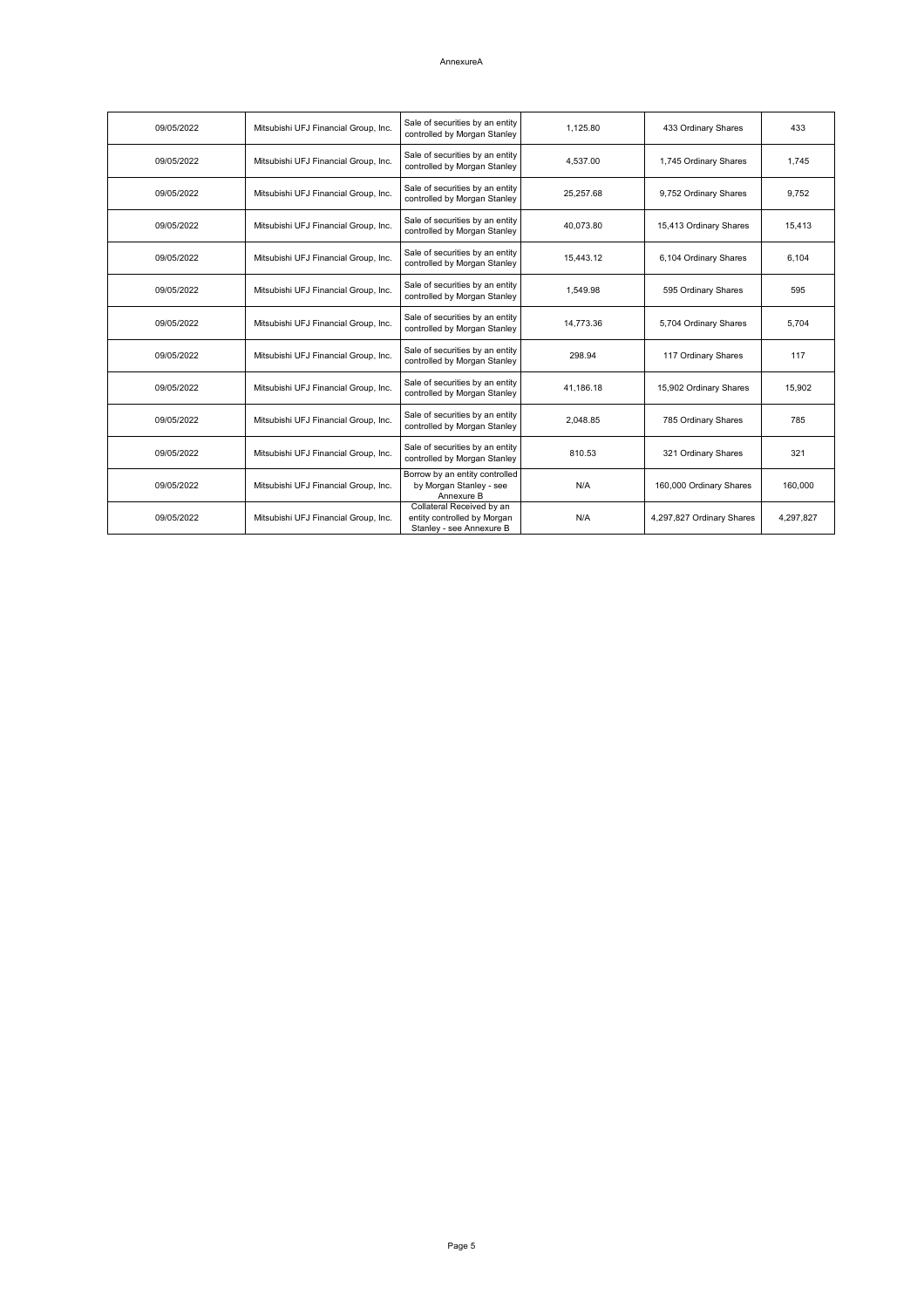### AnnexureA

| 09/05/2022 | Mitsubishi UFJ Financial Group, Inc. | Sale of securities by an entity<br>controlled by Morgan Stanley                      | 1,125.80  | 433 Ordinary Shares       | 433       |
|------------|--------------------------------------|--------------------------------------------------------------------------------------|-----------|---------------------------|-----------|
| 09/05/2022 | Mitsubishi UFJ Financial Group, Inc. | Sale of securities by an entity<br>controlled by Morgan Stanley                      | 4,537.00  | 1,745 Ordinary Shares     | 1,745     |
| 09/05/2022 | Mitsubishi UFJ Financial Group, Inc. | Sale of securities by an entity<br>controlled by Morgan Stanley                      | 25,257.68 | 9,752 Ordinary Shares     | 9,752     |
| 09/05/2022 | Mitsubishi UFJ Financial Group, Inc. | Sale of securities by an entity<br>controlled by Morgan Stanley                      | 40,073.80 | 15,413 Ordinary Shares    | 15,413    |
| 09/05/2022 | Mitsubishi UFJ Financial Group, Inc. | Sale of securities by an entity<br>controlled by Morgan Stanley                      | 15,443.12 | 6,104 Ordinary Shares     | 6,104     |
| 09/05/2022 | Mitsubishi UFJ Financial Group, Inc. | Sale of securities by an entity<br>controlled by Morgan Stanley                      | 1,549.98  | 595 Ordinary Shares       | 595       |
| 09/05/2022 | Mitsubishi UFJ Financial Group, Inc. | Sale of securities by an entity<br>controlled by Morgan Stanley                      | 14,773.36 | 5,704 Ordinary Shares     | 5,704     |
| 09/05/2022 | Mitsubishi UFJ Financial Group, Inc. | Sale of securities by an entity<br>controlled by Morgan Stanley                      | 298.94    | 117 Ordinary Shares       | 117       |
| 09/05/2022 | Mitsubishi UFJ Financial Group, Inc. | Sale of securities by an entity<br>controlled by Morgan Stanley                      | 41,186.18 | 15,902 Ordinary Shares    | 15,902    |
| 09/05/2022 | Mitsubishi UFJ Financial Group, Inc. | Sale of securities by an entity<br>controlled by Morgan Stanley                      | 2,048.85  | 785 Ordinary Shares       | 785       |
| 09/05/2022 | Mitsubishi UFJ Financial Group, Inc. | Sale of securities by an entity<br>controlled by Morgan Stanley                      | 810.53    | 321 Ordinary Shares       | 321       |
| 09/05/2022 | Mitsubishi UFJ Financial Group, Inc. | Borrow by an entity controlled<br>by Morgan Stanley - see<br>Annexure B              | N/A       | 160,000 Ordinary Shares   | 160,000   |
| 09/05/2022 | Mitsubishi UFJ Financial Group, Inc. | Collateral Received by an<br>entity controlled by Morgan<br>Stanley - see Annexure B | N/A       | 4,297,827 Ordinary Shares | 4,297,827 |